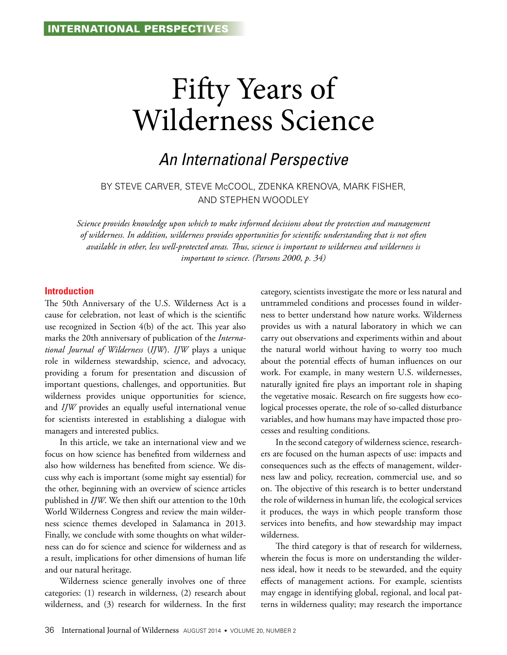# Fifty Years of Wilderness Science

# *An International Perspective*

### BY STEVE CARVER, STEVE McCOOL, ZDENKA KRENOVA, MARK FISHER, and STEPHEN WOODLEY

*Science provides knowledge upon which to make informed decisions about the protection and management of wilderness. In addition, wilderness provides opportunities for scientific understanding that is not often available in other, less well-protected areas. Thus, science is important to wilderness and wilderness is important to science. (Parsons 2000, p. 34)*

#### **Introduction**

The 50th Anniversary of the U.S. Wilderness Act is a cause for celebration, not least of which is the scientific use recognized in Section 4(b) of the act. This year also marks the 20th anniversary of publication of the *International Journal of Wilderness* (*IJW*). *IJW* plays a unique role in wilderness stewardship, science, and advocacy, providing a forum for presentation and discussion of important questions, challenges, and opportunities. But wilderness provides unique opportunities for science, and *IJW* provides an equally useful international venue for scientists interested in establishing a dialogue with managers and interested publics.

In this article, we take an international view and we focus on how science has benefited from wilderness and also how wilderness has benefited from science. We discuss why each is important (some might say essential) for the other, beginning with an overview of science articles published in *IJW*. We then shift our attention to the 10th World Wilderness Congress and review the main wilderness science themes developed in Salamanca in 2013. Finally, we conclude with some thoughts on what wilderness can do for science and science for wilderness and as a result, implications for other dimensions of human life and our natural heritage.

Wilderness science generally involves one of three categories: (1) research in wilderness, (2) research about wilderness, and (3) research for wilderness. In the first

category, scientists investigate the more or less natural and untrammeled conditions and processes found in wilderness to better understand how nature works. Wilderness provides us with a natural laboratory in which we can carry out observations and experiments within and about the natural world without having to worry too much about the potential effects of human influences on our work. For example, in many western U.S. wildernesses, naturally ignited fire plays an important role in shaping the vegetative mosaic. Research on fire suggests how ecological processes operate, the role of so-called disturbance variables, and how humans may have impacted those processes and resulting conditions.

In the second category of wilderness science, researchers are focused on the human aspects of use: impacts and consequences such as the effects of management, wilderness law and policy, recreation, commercial use, and so on. The objective of this research is to better understand the role of wilderness in human life, the ecological services it produces, the ways in which people transform those services into benefits, and how stewardship may impact wilderness.

The third category is that of research for wilderness, wherein the focus is more on understanding the wilderness ideal, how it needs to be stewarded, and the equity effects of management actions. For example, scientists may engage in identifying global, regional, and local patterns in wilderness quality; may research the importance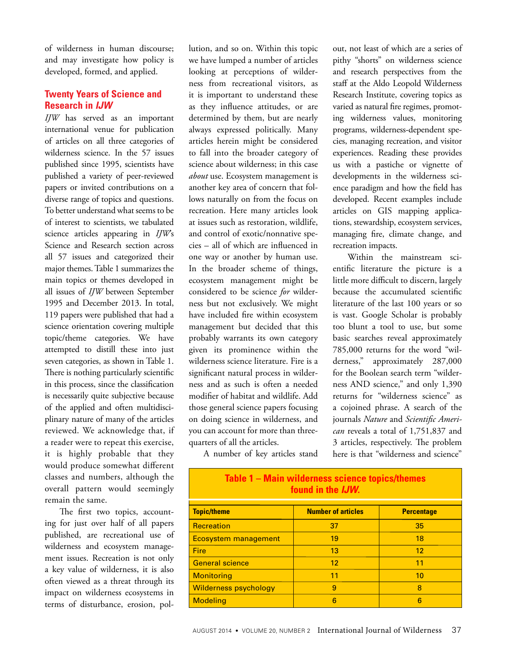of wilderness in human discourse; and may investigate how policy is developed, formed, and applied.

### **Twenty Years of Science and Research in** *IJW*

*IJW* has served as an important international venue for publication of articles on all three categories of wilderness science. In the 57 issues published since 1995, scientists have published a variety of peer-reviewed papers or invited contributions on a diverse range of topics and questions. To better understand what seems to be of interest to scientists, we tabulated science articles appearing in *IJW*'s Science and Research section across all 57 issues and categorized their major themes. Table 1 summarizes the main topics or themes developed in all issues of *IJW* between September 1995 and December 2013. In total, 119 papers were published that had a science orientation covering multiple topic/theme categories. We have attempted to distill these into just seven categories, as shown in Table 1. There is nothing particularly scientific in this process, since the classification is necessarily quite subjective because of the applied and often multidisciplinary nature of many of the articles reviewed. We acknowledge that, if a reader were to repeat this exercise, it is highly probable that they would produce somewhat different classes and numbers, although the overall pattern would seemingly remain the same.

The first two topics, accounting for just over half of all papers published, are recreational use of wilderness and ecosystem management issues. Recreation is not only a key value of wilderness, it is also often viewed as a threat through its impact on wilderness ecosystems in terms of disturbance, erosion, pol-

lution, and so on. Within this topic we have lumped a number of articles looking at perceptions of wilderness from recreational visitors, as it is important to understand these as they influence attitudes, or are determined by them, but are nearly always expressed politically. Many articles herein might be considered to fall into the broader category of science about wilderness; in this case *about* use. Ecosystem management is another key area of concern that follows naturally on from the focus on recreation. Here many articles look at issues such as restoration, wildlife, and control of exotic/nonnative species – all of which are influenced in one way or another by human use. In the broader scheme of things, ecosystem management might be considered to be science *for* wilderness but not exclusively. We might have included fire within ecosystem management but decided that this probably warrants its own category given its prominence within the wilderness science literature. Fire is a significant natural process in wilderness and as such is often a needed modifier of habitat and wildlife. Add those general science papers focusing on doing science in wilderness, and you can account for more than threequarters of all the articles.

out, not least of which are a series of pithy "shorts" on wilderness science and research perspectives from the staff at the Aldo Leopold Wilderness Research Institute, covering topics as varied as natural fire regimes, promoting wilderness values, monitoring programs, wilderness-dependent species, managing recreation, and visitor experiences. Reading these provides us with a pastiche or vignette of developments in the wilderness science paradigm and how the field has developed. Recent examples include articles on GIS mapping applications, stewardship, ecosystem services, managing fire, climate change, and recreation impacts.

Within the mainstream scientific literature the picture is a little more difficult to discern, largely because the accumulated scientific literature of the last 100 years or so is vast. Google Scholar is probably too blunt a tool to use, but some basic searches reveal approximately 785,000 returns for the word "wilderness," approximately 287,000 for the Boolean search term "wilderness AND science," and only 1,390 returns for "wilderness science" as a cojoined phrase. A search of the journals *Nature* and *Scientific American* reveals a total of 1,751,837 and 3 articles, respectively. The problem here is that "wilderness and science"

A number of key articles stand

| <u> Table T – Main Wilderhess science topics/themes</u><br>found in the IJW. |                           |                   |
|------------------------------------------------------------------------------|---------------------------|-------------------|
| <b>Topic/theme</b>                                                           | <b>Number of articles</b> | <b>Percentage</b> |
| <b>Recreation</b>                                                            | 37                        | 35                |
| <b>Ecosystem management</b>                                                  | 19                        | 18                |
| Fire                                                                         | 13                        | 12 <sup>2</sup>   |
| <b>General science</b>                                                       | 12                        | 11                |
| <b>Monitoring</b>                                                            | 11                        | 10                |
| <b>Wilderness psychology</b>                                                 | 9                         | 8                 |
| <b>Modeling</b>                                                              | 6                         | 6                 |

# **Table 1 – Main wilderness science topics/themes**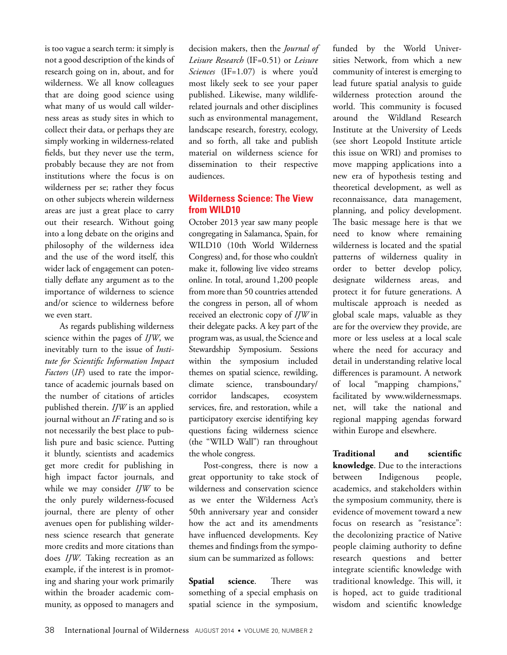is too vague a search term: it simply is not a good description of the kinds of research going on in, about, and for wilderness. We all know colleagues that are doing good science using what many of us would call wilderness areas as study sites in which to collect their data, or perhaps they are simply working in wilderness-related fields, but they never use the term, probably because they are not from institutions where the focus is on wilderness per se; rather they focus on other subjects wherein wilderness areas are just a great place to carry out their research. Without going into a long debate on the origins and philosophy of the wilderness idea and the use of the word itself, this wider lack of engagement can potentially deflate any argument as to the importance of wilderness to science and/or science to wilderness before we even start.

As regards publishing wilderness science within the pages of *IJW*, we inevitably turn to the issue of *Institute for Scientific Information Impact Factors* (*IF*) used to rate the importance of academic journals based on the number of citations of articles published therein. *IJW* is an applied journal without an *IF* rating and so is not necessarily the best place to publish pure and basic science. Putting it bluntly, scientists and academics get more credit for publishing in high impact factor journals, and while we may consider *IJW* to be the only purely wilderness-focused journal, there are plenty of other avenues open for publishing wilderness science research that generate more credits and more citations than does *IJW*. Taking recreation as an example, if the interest is in promoting and sharing your work primarily within the broader academic community, as opposed to managers and

decision makers, then the *Journal of Leisure Research* (IF=0.51) or *Leisure Sciences* (IF=1.07) is where you'd most likely seek to see your paper published. Likewise, many wildliferelated journals and other disciplines such as environmental management, landscape research, forestry, ecology, and so forth, all take and publish material on wilderness science for dissemination to their respective audiences.

### **Wilderness Science: The View from WILD10**

October 2013 year saw many people congregating in Salamanca, Spain, for WILD10 (10th World Wilderness Congress) and, for those who couldn't make it, following live video streams online. In total, around 1,200 people from more than 50 countries attended the congress in person, all of whom received an electronic copy of *IJW* in their delegate packs. A key part of the program was, as usual, the Science and Stewardship Symposium. Sessions within the symposium included themes on spatial science, rewilding, climate science, transboundary/ corridor landscapes, ecosystem services, fire, and restoration, while a participatory exercise identifying key questions facing wilderness science (the "WILD Wall") ran throughout the whole congress.

Post-congress, there is now a great opportunity to take stock of wilderness and conservation science as we enter the Wilderness Act's 50th anniversary year and consider how the act and its amendments have influenced developments. Key themes and findings from the symposium can be summarized as follows:

**Spatial science**. There was something of a special emphasis on spatial science in the symposium,

funded by the World Universities Network, from which a new community of interest is emerging to lead future spatial analysis to guide wilderness protection around the world. This community is focused around the Wildland Research Institute at the University of Leeds (see short Leopold Institute article this issue on WRI) and promises to move mapping applications into a new era of hypothesis testing and theoretical development, as well as reconnaissance, data management, planning, and policy development. The basic message here is that we need to know where remaining wilderness is located and the spatial patterns of wilderness quality in order to better develop policy, designate wilderness areas, and protect it for future generations. A multiscale approach is needed as global scale maps, valuable as they are for the overview they provide, are more or less useless at a local scale where the need for accuracy and detail in understanding relative local differences is paramount. A network of local "mapping champions," facilitated by www.wildernessmaps. net, will take the national and regional mapping agendas forward within Europe and elsewhere.

**Traditional and scientific knowledge**. Due to the interactions between Indigenous people, academics, and stakeholders within the symposium community, there is evidence of movement toward a new focus on research as "resistance": the decolonizing practice of Native people claiming authority to define research questions and better integrate scientific knowledge with traditional knowledge. This will, it is hoped, act to guide traditional wisdom and scientific knowledge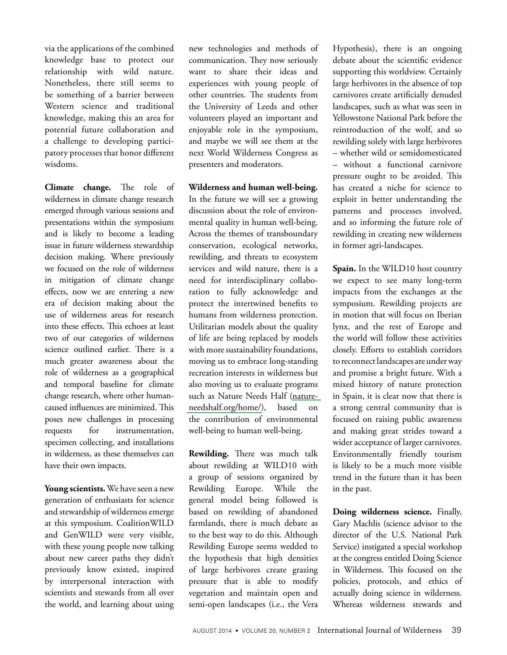via the applications of the combined knowledge base to protect our relationship with wild nature. Nonetheless, there still seems to be something of a barrier between Western science and traditional knowledge, making this an area for potential future collaboration and a challenge to developing participatory processes that honor different wisdoms.

**Climate change.** The role of wilderness in climate change research emerged through various sessions and presentations within the symposium and is likely to become a leading issue in future wilderness stewardship decision making. Where previously we focused on the role of wilderness in mitigation of climate change effects, now we are entering a new era of decision making about the use of wilderness areas for research into these effects. This echoes at least two of our categories of wilderness science outlined earlier. There is a much greater awareness about the role of wilderness as a geographical and temporal baseline for climate change research, where other humancaused influences are minimized. This poses new challenges in processing requests for instrumentation, specimen collecting, and installations in wilderness, as these themselves can have their own impacts.

**Young scientists.** We have seen a new generation of enthusiasts for science and stewardship of wilderness emerge at this symposium. CoalitionWILD and GenWILD were very visible, with these young people now talking about new career paths they didn't previously know existed, inspired by interpersonal interaction with scientists and stewards from all over the world, and learning about using

new technologies and methods of communication. They now seriously want to share their ideas and experiences with young people of other countries. The students from the University of Leeds and other volunteers played an important and enjoyable role in the symposium, and maybe we will see them at the next World Wilderness Congress as presenters and moderators.

**Wilderness and human well-being.**  In the future we will see a growing discussion about the role of environmental quality in human well-being. Across the themes of transboundary conservation, ecological networks, rewilding, and threats to ecosystem services and wild nature, there is a need for interdisciplinary collaboration to fully acknowledge and protect the intertwined benefits to humans from wilderness protection. Utilitarian models about the quality of life are being replaced by models with more sustainability foundations, moving us to embrace long-standing recreation interests in wilderness but also moving us to evaluate programs such as Nature Needs Half [\(nature](http://www.natureneedshalf.org/home/)[needshalf.org/home/\)](http://www.natureneedshalf.org/home/), based on the contribution of environmental well-being to human well-being.

**Rewilding.** There was much talk about rewilding at WILD10 with a group of sessions organized by Rewilding Europe. While the general model being followed is based on rewilding of abandoned farmlands, there is much debate as to the best way to do this. Although Rewilding Europe seems wedded to the hypothesis that high densities of large herbivores create grazing pressure that is able to modify vegetation and maintain open and semi-open landscapes (i.e., the Vera

Hypothesis), there is an ongoing debate about the scientific evidence supporting this worldview. Certainly large herbivores in the absence of top carnivores create artificially denuded landscapes, such as what was seen in Yellowstone National Park before the reintroduction of the wolf, and so rewilding solely with large herbivores – whether wild or semidomesticated – without a functional carnivore pressure ought to be avoided. This has created a niche for science to exploit in better understanding the patterns and processes involved, and so informing the future role of rewilding in creating new wilderness in former agri-landscapes.

**Spain.** In the WILD10 host country we expect to see many long-term impacts from the exchanges at the symposium. Rewilding projects are in motion that will focus on Iberian lynx, and the rest of Europe and the world will follow these activities closely. Efforts to establish corridors to reconnect landscapes are under way and promise a bright future. With a mixed history of nature protection in Spain, it is clear now that there is a strong central community that is focused on raising public awareness and making great strides toward a wider acceptance of larger carnivores. Environmentally friendly tourism is likely to be a much more visible trend in the future than it has been in the past.

**Doing wilderness science.** Finally, Gary Machlis (science advisor to the director of the U.S. National Park Service) instigated a special workshop at the congress entitled Doing Science in Wilderness. This focused on the policies, protocols, and ethics of actually doing science in wilderness. Whereas wilderness stewards and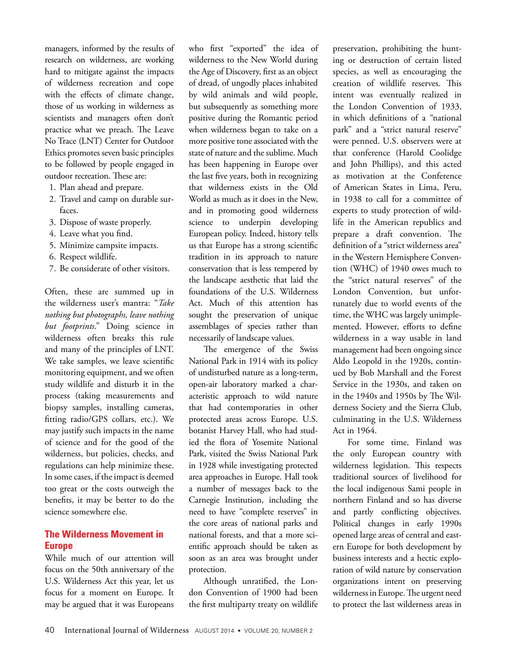managers, informed by the results of research on wilderness, are working hard to mitigate against the impacts of wilderness recreation and cope with the effects of climate change, those of us working in wilderness as scientists and managers often don't practice what we preach. The Leave No Trace (LNT) Center for Outdoor Ethics promotes seven basic principles to be followed by people engaged in outdoor recreation. These are:

- 1. Plan ahead and prepare.
- 2. Travel and camp on durable surfaces.
- 3. Dispose of waste properly.
- 4. Leave what you find.
- 5. Minimize campsite impacts.
- 6. Respect wildlife.
- 7. Be considerate of other visitors.

Often, these are summed up in the wilderness user's mantra: "*Take nothing but photographs, leave nothing but footprints*." Doing science in wilderness often breaks this rule and many of the principles of LNT. We take samples, we leave scientific monitoring equipment, and we often study wildlife and disturb it in the process (taking measurements and biopsy samples, installing cameras, fitting radio/GPS collars, etc.). We may justify such impacts in the name of science and for the good of the wilderness, but policies, checks, and regulations can help minimize these. In some cases, if the impact is deemed too great or the costs outweigh the benefits, it may be better to do the science somewhere else.

### **The Wilderness Movement in Europe**

While much of our attention will focus on the 50th anniversary of the U.S. Wilderness Act this year, let us focus for a moment on Europe. It may be argued that it was Europeans

who first "exported" the idea of wilderness to the New World during the Age of Discovery, first as an object of dread, of ungodly places inhabited by wild animals and wild people, but subsequently as something more positive during the Romantic period when wilderness began to take on a more positive tone associated with the state of nature and the sublime. Much has been happening in Europe over the last five years, both in recognizing that wilderness exists in the Old World as much as it does in the New, and in promoting good wilderness science to underpin developing European policy. Indeed, history tells us that Europe has a strong scientific tradition in its approach to nature conservation that is less tempered by the landscape aesthetic that laid the foundations of the U.S. Wilderness Act. Much of this attention has sought the preservation of unique assemblages of species rather than necessarily of landscape values.

The emergence of the Swiss National Park in 1914 with its policy of undisturbed nature as a long-term, open-air laboratory marked a characteristic approach to wild nature that had contemporaries in other protected areas across Europe. U.S. botanist Harvey Hall, who had studied the flora of Yosemite National Park, visited the Swiss National Park in 1928 while investigating protected area approaches in Europe. Hall took a number of messages back to the Carnegie Institution, including the need to have "complete reserves" in the core areas of national parks and national forests, and that a more scientific approach should be taken as soon as an area was brought under protection.

Although unratified, the London Convention of 1900 had been the first multiparty treaty on wildlife

preservation, prohibiting the hunting or destruction of certain listed species, as well as encouraging the creation of wildlife reserves. This intent was eventually realized in the London Convention of 1933, in which definitions of a "national park" and a "strict natural reserve" were penned. U.S. observers were at that conference (Harold Coolidge and John Phillips), and this acted as motivation at the Conference of American States in Lima, Peru, in 1938 to call for a committee of experts to study protection of wildlife in the American republics and prepare a draft convention. The definition of a "strict wilderness area" in the Western Hemisphere Convention (WHC) of 1940 owes much to the "strict natural reserves" of the London Convention, but unfortunately due to world events of the time, the WHC was largely unimplemented. However, efforts to define wilderness in a way usable in land management had been ongoing since Aldo Leopold in the 1920s, continued by Bob Marshall and the Forest Service in the 1930s, and taken on in the 1940s and 1950s by The Wilderness Society and the Sierra Club, culminating in the U.S. Wilderness Act in 1964.

For some time, Finland was the only European country with wilderness legislation. This respects traditional sources of livelihood for the local indigenous Sami people in northern Finland and so has diverse and partly conflicting objectives. Political changes in early 1990s opened large areas of central and eastern Europe for both development by business interests and a hectic exploration of wild nature by conservation organizations intent on preserving wilderness in Europe. The urgent need to protect the last wilderness areas in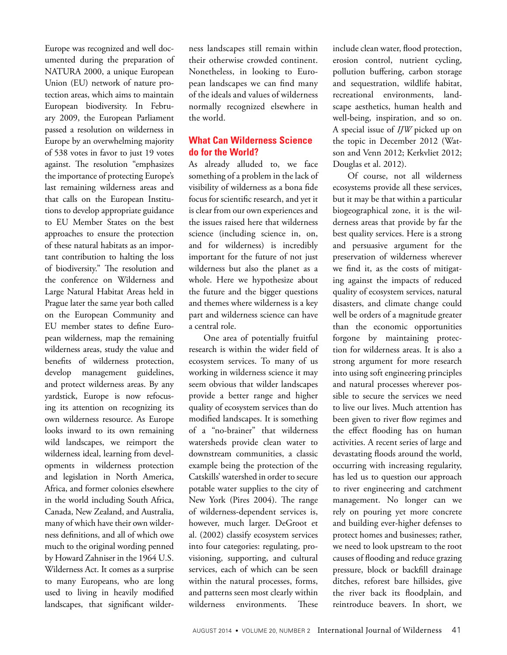Europe was recognized and well documented during the preparation of NATURA 2000, a unique European Union (EU) network of nature protection areas, which aims to maintain European biodiversity. In February 2009, the European Parliament passed a resolution on wilderness in Europe by an overwhelming majority of 538 votes in favor to just 19 votes against. The resolution "emphasizes the importance of protecting Europe's last remaining wilderness areas and that calls on the European Institutions to develop appropriate guidance to EU Member States on the best approaches to ensure the protection of these natural habitats as an important contribution to halting the loss of biodiversity." The resolution and the conference on Wilderness and Large Natural Habitat Areas held in Prague later the same year both called on the European Community and EU member states to define European wilderness, map the remaining wilderness areas, study the value and benefits of wilderness protection, develop management guidelines, and protect wilderness areas. By any yardstick, Europe is now refocusing its attention on recognizing its own wilderness resource. As Europe looks inward to its own remaining wild landscapes, we reimport the wilderness ideal, learning from developments in wilderness protection and legislation in North America, Africa, and former colonies elsewhere in the world including South Africa, Canada, New Zealand, and Australia, many of which have their own wilderness definitions, and all of which owe much to the original wording penned by Howard Zahniser in the 1964 U.S. Wilderness Act. It comes as a surprise to many Europeans, who are long used to living in heavily modified landscapes, that significant wilder-

ness landscapes still remain within their otherwise crowded continent. Nonetheless, in looking to European landscapes we can find many of the ideals and values of wilderness normally recognized elsewhere in the world.

### **What Can Wilderness Science do for the World?**

As already alluded to, we face something of a problem in the lack of visibility of wilderness as a bona fide focus for scientific research, and yet it is clear from our own experiences and the issues raised here that wilderness science (including science in, on, and for wilderness) is incredibly important for the future of not just wilderness but also the planet as a whole. Here we hypothesize about the future and the bigger questions and themes where wilderness is a key part and wilderness science can have a central role.

One area of potentially fruitful research is within the wider field of ecosystem services. To many of us working in wilderness science it may seem obvious that wilder landscapes provide a better range and higher quality of ecosystem services than do modified landscapes. It is something of a "no-brainer" that wilderness watersheds provide clean water to downstream communities, a classic example being the protection of the Catskills' watershed in order to secure potable water supplies to the city of New York (Pires 2004). The range of wilderness-dependent services is, however, much larger. DeGroot et al. (2002) classify ecosystem services into four categories: regulating, provisioning, supporting, and cultural services, each of which can be seen within the natural processes, forms, and patterns seen most clearly within wilderness environments. These

include clean water, flood protection, erosion control, nutrient cycling, pollution buffering, carbon storage and sequestration, wildlife habitat, recreational environments, landscape aesthetics, human health and well-being, inspiration, and so on. A special issue of *IJW* picked up on the topic in December 2012 (Watson and Venn 2012; Kerkvliet 2012; Douglas et al. 2012).

Of course, not all wilderness ecosystems provide all these services, but it may be that within a particular biogeographical zone, it is the wilderness areas that provide by far the best quality services. Here is a strong and persuasive argument for the preservation of wilderness wherever we find it, as the costs of mitigating against the impacts of reduced quality of ecosystem services, natural disasters, and climate change could well be orders of a magnitude greater than the economic opportunities forgone by maintaining protection for wilderness areas. It is also a strong argument for more research into using soft engineering principles and natural processes wherever possible to secure the services we need to live our lives. Much attention has been given to river flow regimes and the effect flooding has on human activities. A recent series of large and devastating floods around the world, occurring with increasing regularity, has led us to question our approach to river engineering and catchment management. No longer can we rely on pouring yet more concrete and building ever-higher defenses to protect homes and businesses; rather, we need to look upstream to the root causes of flooding and reduce grazing pressure, block or backfill drainage ditches, reforest bare hillsides, give the river back its floodplain, and reintroduce beavers. In short, we